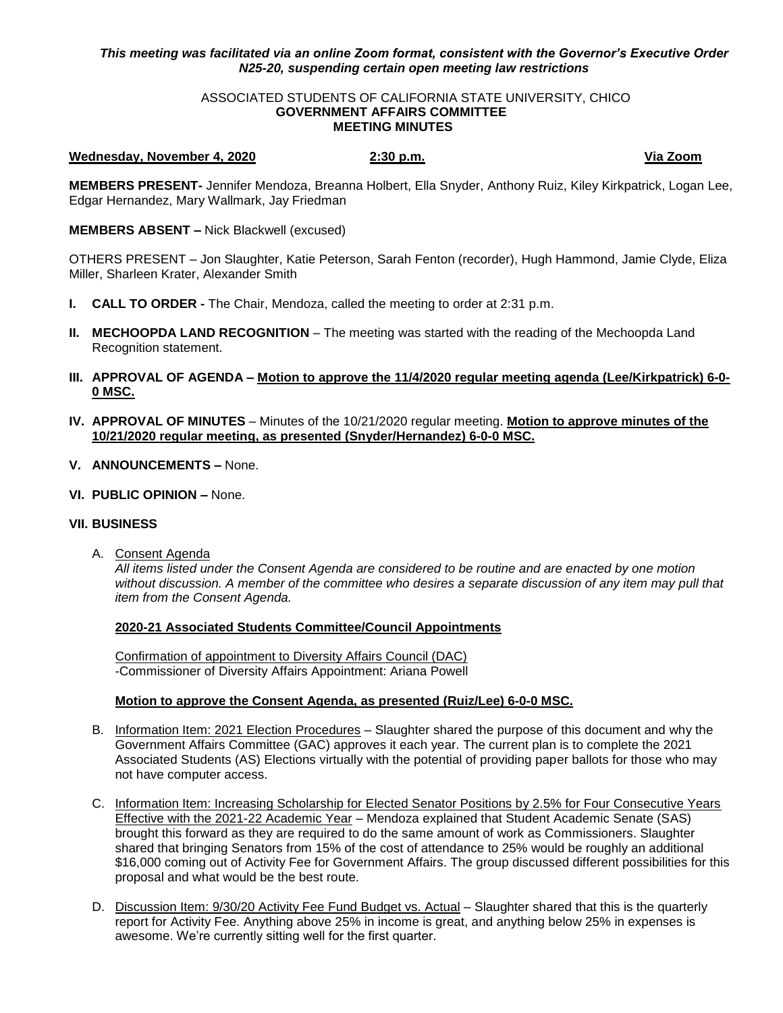# *This meeting was facilitated via an online Zoom format, consistent with the Governor's Executive Order N25-20, suspending certain open meeting law restrictions*

#### ASSOCIATED STUDENTS OF CALIFORNIA STATE UNIVERSITY, CHICO **GOVERNMENT AFFAIRS COMMITTEE MEETING MINUTES**

#### **Wednesday, November 4, 2020 2:30 p.m. Via Zoom**

**MEMBERS PRESENT-** Jennifer Mendoza, Breanna Holbert, Ella Snyder, Anthony Ruiz, Kiley Kirkpatrick, Logan Lee, Edgar Hernandez, Mary Wallmark, Jay Friedman

**MEMBERS ABSENT –** Nick Blackwell (excused)

OTHERS PRESENT – Jon Slaughter, Katie Peterson, Sarah Fenton (recorder), Hugh Hammond, Jamie Clyde, Eliza Miller, Sharleen Krater, Alexander Smith

- **I. CALL TO ORDER -** The Chair, Mendoza, called the meeting to order at 2:31 p.m.
- **II. MECHOOPDA LAND RECOGNITION** The meeting was started with the reading of the Mechoopda Land Recognition statement.
- **III. APPROVAL OF AGENDA – Motion to approve the 11/4/2020 regular meeting agenda (Lee/Kirkpatrick) 6-0- 0 MSC.**
- **IV. APPROVAL OF MINUTES** Minutes of the 10/21/2020 regular meeting. **Motion to approve minutes of the 10/21/2020 regular meeting, as presented (Snyder/Hernandez) 6-0-0 MSC.**
- **V. ANNOUNCEMENTS –** None.
- **VI. PUBLIC OPINION –** None.

## **VII. BUSINESS**

A. Consent Agenda

*All items listed under the Consent Agenda are considered to be routine and are enacted by one motion without discussion. A member of the committee who desires a separate discussion of any item may pull that item from the Consent Agenda.* 

# **2020-21 Associated Students Committee/Council Appointments**

Confirmation of appointment to Diversity Affairs Council (DAC) -Commissioner of Diversity Affairs Appointment: Ariana Powell

## **Motion to approve the Consent Agenda, as presented (Ruiz/Lee) 6-0-0 MSC.**

- B. Information Item: 2021 Election Procedures Slaughter shared the purpose of this document and why the Government Affairs Committee (GAC) approves it each year. The current plan is to complete the 2021 Associated Students (AS) Elections virtually with the potential of providing paper ballots for those who may not have computer access.
- C. Information Item: Increasing Scholarship for Elected Senator Positions by 2.5% for Four Consecutive Years Effective with the 2021-22 Academic Year – Mendoza explained that Student Academic Senate (SAS) brought this forward as they are required to do the same amount of work as Commissioners. Slaughter shared that bringing Senators from 15% of the cost of attendance to 25% would be roughly an additional \$16,000 coming out of Activity Fee for Government Affairs. The group discussed different possibilities for this proposal and what would be the best route.
- D. Discussion Item: 9/30/20 Activity Fee Fund Budget vs. Actual Slaughter shared that this is the quarterly report for Activity Fee. Anything above 25% in income is great, and anything below 25% in expenses is awesome. We're currently sitting well for the first quarter.